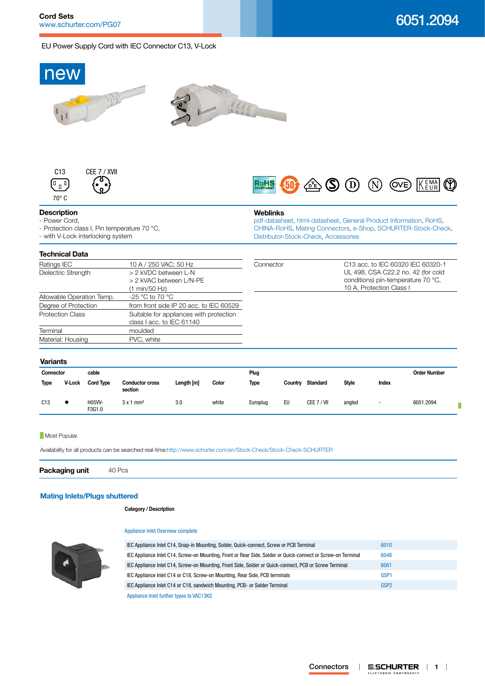## EU Power Supply Cord with IEC Connector C13, V-Lock



### **Most Popular.**

Availability for all products can be searched real-time[:http://www.schurter.com/en/Stock-Check/Stock-Check-SCHURTER](http://www.schurter.com/en/Stock-Check/Stock-Check-SCHURTER)

**Packaging unit** 40 Pcs

# **[Mating Inlets/Plugs shuttered](http://www.schurter.ch/Components/Connectors/Mating-Connectors?out_type=VAC13KS)**

### **Category / Description**

### [Appliance Inlet Overview complete](http://www.schurter.ch/pg07)



IEC Appliance Inlet C14, Snap-in Mounting, Solder, Quick-connect, Screw or PCB Terminal [6010](http://www.schurter.ch/pdf/english/typ_6010.pdf) IEC Appliance Inlet C14, Screw-on Mounting, Front or Rear Side, Solder or Quick-connect or Screw-on Terminal [6048](http://www.schurter.ch/pdf/english/typ_6048.pdf) IEC Appliance Inlet C14, Screw-on Mounting, Front Side, Solder or Quick-connect, PCB or Screw Terminal [6061](http://www.schurter.ch/pdf/english/typ_6061.pdf) IEC Appliance Inlet C14 or C18, Screw-on Mounting, Rear Side, PCB terminals [GSP1](http://www.schurter.ch/pdf/english/typ_GSP1.pdf) IEC Appliance Inlet C14 or C18, sandwich Mounting, PCB- or Solder Terminal [GSP2](http://www.schurter.ch/pdf/english/typ_GSP2.pdf) [Appliance Inlet further types to VAC13KS](http://www.schurter.ch/Components/Connectors/Mating-Connectors?out_type=VAC13KS&in_product_group=pg07)